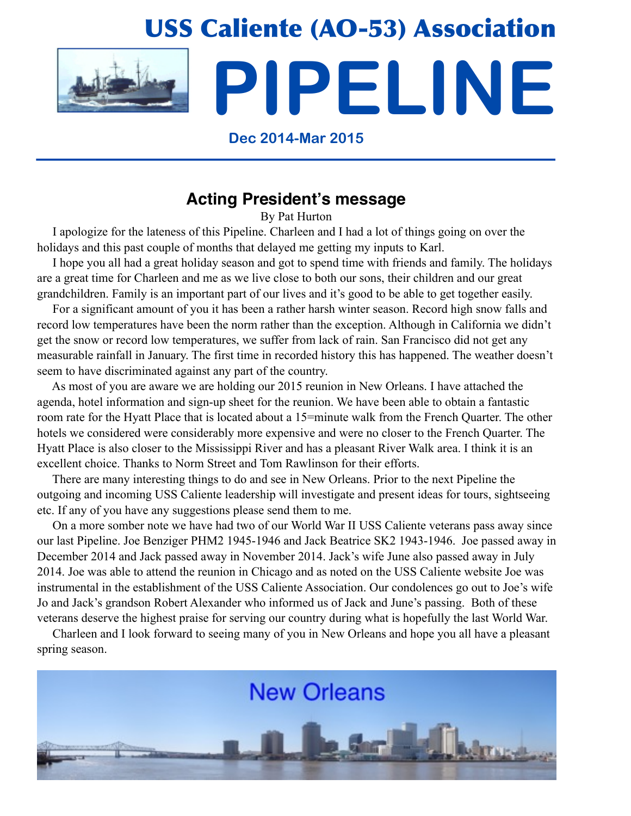# USS Caliente (AO-53) Association **PIPELINE**

### **Dec 2014-Mar 2015**

# **Acting President's message**

By Pat Hurton

 I apologize for the lateness of this Pipeline. Charleen and I had a lot of things going on over the holidays and this past couple of months that delayed me getting my inputs to Karl.

 I hope you all had a great holiday season and got to spend time with friends and family. The holidays are a great time for Charleen and me as we live close to both our sons, their children and our great grandchildren. Family is an important part of our lives and it's good to be able to get together easily.

 For a significant amount of you it has been a rather harsh winter season. Record high snow falls and record low temperatures have been the norm rather than the exception. Although in California we didn't get the snow or record low temperatures, we suffer from lack of rain. San Francisco did not get any measurable rainfall in January. The first time in recorded history this has happened. The weather doesn't seem to have discriminated against any part of the country.

 As most of you are aware we are holding our 2015 reunion in New Orleans. I have attached the agenda, hotel information and sign-up sheet for the reunion. We have been able to obtain a fantastic room rate for the Hyatt Place that is located about a 15=minute walk from the French Quarter. The other hotels we considered were considerably more expensive and were no closer to the French Quarter. The Hyatt Place is also closer to the Mississippi River and has a pleasant River Walk area. I think it is an excellent choice. Thanks to Norm Street and Tom Rawlinson for their efforts.

 There are many interesting things to do and see in New Orleans. Prior to the next Pipeline the outgoing and incoming USS Caliente leadership will investigate and present ideas for tours, sightseeing etc. If any of you have any suggestions please send them to me.

 On a more somber note we have had two of our World War II USS Caliente veterans pass away since our last Pipeline. Joe Benziger PHM2 1945-1946 and Jack Beatrice SK2 1943-1946. Joe passed away in December 2014 and Jack passed away in November 2014. Jack's wife June also passed away in July 2014. Joe was able to attend the reunion in Chicago and as noted on the USS Caliente website Joe was instrumental in the establishment of the USS Caliente Association. Our condolences go out to Joe's wife Jo and Jack's grandson Robert Alexander who informed us of Jack and June's passing. Both of these veterans deserve the highest praise for serving our country during what is hopefully the last World War.

 Charleen and I look forward to seeing many of you in New Orleans and hope you all have a pleasant spring season.

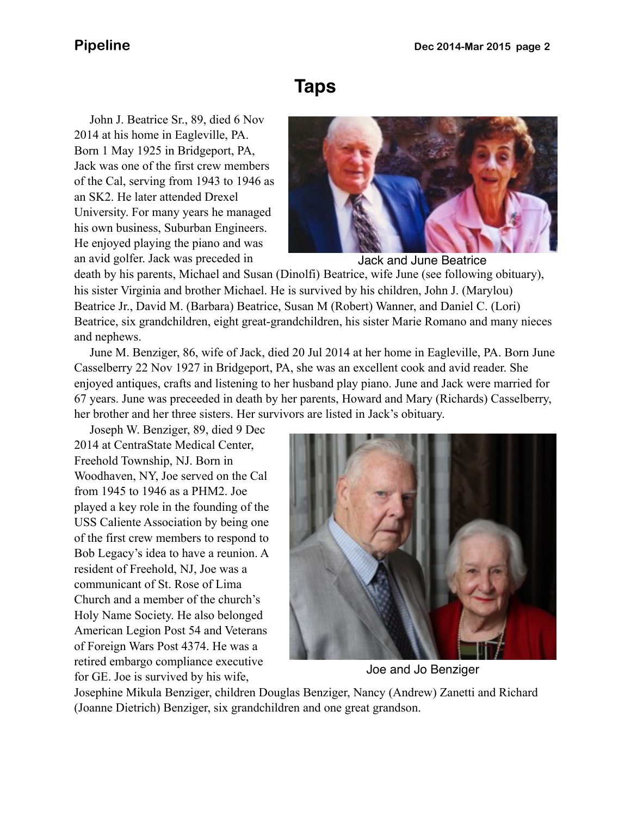# **Taps**

 John J. Beatrice Sr., 89, died 6 Nov 2014 at his home in Eagleville, PA. Born 1 May 1925 in Bridgeport, PA, Jack was one of the first crew members of the Cal, serving from 1943 to 1946 as an SK2. He later attended Drexel University. For many years he managed his own business, Suburban Engineers. He enjoyed playing the piano and was an avid golfer. Jack was preceded in



Jack and June Beatrice

death by his parents, Michael and Susan (Dinolfi) Beatrice, wife June (see following obituary), his sister Virginia and brother Michael. He is survived by his children, John J. (Marylou) Beatrice Jr., David M. (Barbara) Beatrice, Susan M (Robert) Wanner, and Daniel C. (Lori) Beatrice, six grandchildren, eight great-grandchildren, his sister Marie Romano and many nieces and nephews.

 June M. Benziger, 86, wife of Jack, died 20 Jul 2014 at her home in Eagleville, PA. Born June Casselberry 22 Nov 1927 in Bridgeport, PA, she was an excellent cook and avid reader. She enjoyed antiques, crafts and listening to her husband play piano. June and Jack were married for 67 years. June was preceeded in death by her parents, Howard and Mary (Richards) Casselberry, her brother and her three sisters. Her survivors are listed in Jack's obituary.

 Joseph W. Benziger, 89, died 9 Dec 2014 at CentraState Medical Center, Freehold Township, NJ. Born in Woodhaven, NY, Joe served on the Cal from 1945 to 1946 as a PHM2. Joe played a key role in the founding of the USS Caliente Association by being one of the first crew members to respond to Bob Legacy's idea to have a reunion. A resident of Freehold, NJ, Joe was a communicant of St. Rose of Lima Church and a member of the church's Holy Name Society. He also belonged American Legion Post 54 and Veterans of Foreign Wars Post 4374. He was a retired embargo compliance executive for GE. Joe is survived by his wife,



Joe and Jo Benziger

Josephine Mikula Benziger, children Douglas Benziger, Nancy (Andrew) Zanetti and Richard (Joanne Dietrich) Benziger, six grandchildren and one great grandson.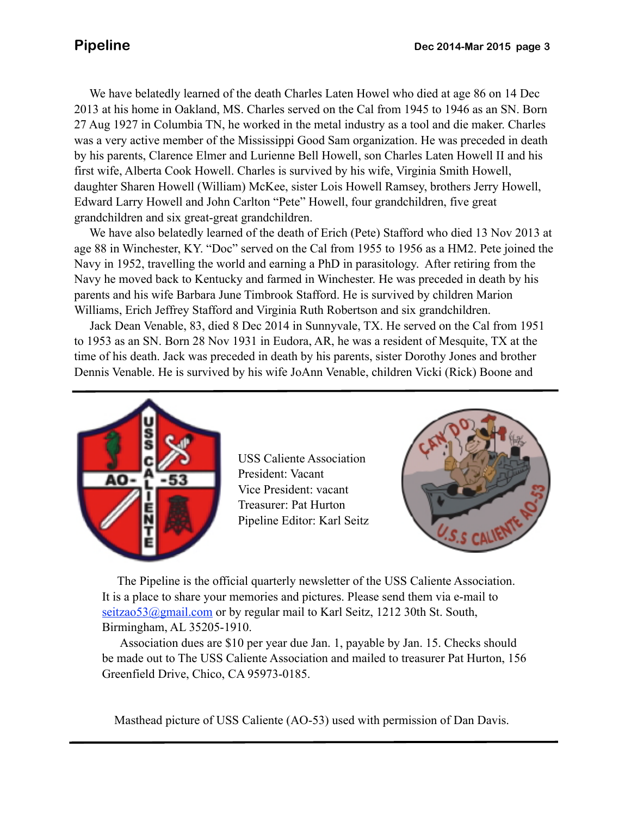daughter Sharen Howell (William) McKee, sister Lois Howell Ramsey, brothers Jerry Howell, We have belatedly learned of the death Charles Laten Howel who died at age 86 on 14 Dec 2013 at his home in Oakland, MS. Charles served on the Cal from 1945 to 1946 as an SN. Born 27 Aug 1927 in Columbia TN, he worked in the metal industry as a tool and die maker. Charles was a very active member of the Mississippi Good Sam organization. He was preceded in death by his parents, Clarence Elmer and Lurienne Bell Howell, son Charles Laten Howell II and his first wife, Alberta Cook Howell. Charles is survived by his wife, Virginia Smith Howell, Edward Larry Howell and John Carlton "Pete" Howell, four grandchildren, five great grandchildren and six great-great grandchildren.

 We have also belatedly learned of the death of Erich (Pete) Stafford who died 13 Nov 2013 at age 88 in Winchester, KY. "Doc" served on the Cal from 1955 to 1956 as a HM2. Pete joined the Navy in 1952, travelling the world and earning a PhD in parasitology. After retiring from the Navy he moved back to Kentucky and farmed in Winchester. He was preceded in death by his parents and his wife Barbara June Timbrook Stafford. He is survived by children Marion Williams, Erich Jeffrey Stafford and Virginia Ruth Robertson and six grandchildren.

 Jack Dean Venable, 83, died 8 Dec 2014 in Sunnyvale, TX. He served on the Cal from 1951 to 1953 as an SN. Born 28 Nov 1931 in Eudora, AR, he was a resident of Mesquite, TX at the time of his death. Jack was preceded in death by his parents, sister Dorothy Jones and brother Dennis Venable. He is survived by his wife JoAnn Venable, children Vicki (Rick) Boone and



USS Caliente Association President: Vacant Vice President: vacant Treasurer: Pat Hurton Pipeline Editor: Karl Seitz



 The Pipeline is the official quarterly newsletter of the USS Caliente Association. It is a place to share your memories and pictures. Please send them via e-mail to seitzao53@gmail.com or by regular mail to Karl Seitz, 1212 30th St. South, Birmingham, AL 35205-1910.

 Association dues are \$10 per year due Jan. 1, payable by Jan. 15. Checks should be made out to The USS Caliente Association and mailed to treasurer Pat Hurton, 156 Greenfield Drive, Chico, CA 95973-0185.

Masthead picture of USS Caliente (AO-53) used with permission of Dan Davis.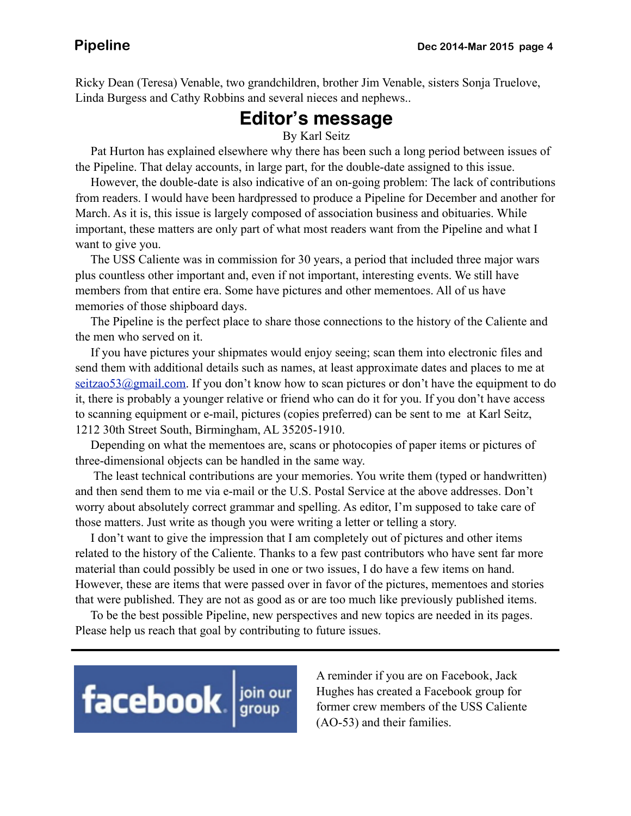Ricky Dean (Teresa) Venable, two grandchildren, brother Jim Venable, sisters Sonja Truelove, Linda Burgess and Cathy Robbins and several nieces and nephews..

# **Editor's message**

By Karl Seitz

 Pat Hurton has explained elsewhere why there has been such a long period between issues of the Pipeline. That delay accounts, in large part, for the double-date assigned to this issue.

 However, the double-date is also indicative of an on-going problem: The lack of contributions from readers. I would have been hardpressed to produce a Pipeline for December and another for March. As it is, this issue is largely composed of association business and obituaries. While important, these matters are only part of what most readers want from the Pipeline and what I want to give you.

 The USS Caliente was in commission for 30 years, a period that included three major wars plus countless other important and, even if not important, interesting events. We still have members from that entire era. Some have pictures and other mementoes. All of us have memories of those shipboard days.

 The Pipeline is the perfect place to share those connections to the history of the Caliente and the men who served on it.

 If you have pictures your shipmates would enjoy seeing; scan them into electronic files and send them with additional details such as names, at least approximate dates and places to me at  $s$ eitzao53@gmail.com. If you don't know how to scan pictures or don't have the equipment to do it, there is probably a younger relative or friend who can do it for you. If you don't have access to scanning equipment or e-mail, pictures (copies preferred) can be sent to me at Karl Seitz, 1212 30th Street South, Birmingham, AL 35205-1910.

 Depending on what the mementoes are, scans or photocopies of paper items or pictures of three-dimensional objects can be handled in the same way.

 The least technical contributions are your memories. You write them (typed or handwritten) and then send them to me via e-mail or the U.S. Postal Service at the above addresses. Don't worry about absolutely correct grammar and spelling. As editor, I'm supposed to take care of those matters. Just write as though you were writing a letter or telling a story.

 I don't want to give the impression that I am completely out of pictures and other items related to the history of the Caliente. Thanks to a few past contributors who have sent far more material than could possibly be used in one or two issues, I do have a few items on hand. However, these are items that were passed over in favor of the pictures, mementoes and stories that were published. They are not as good as or are too much like previously published items.

 To be the best possible Pipeline, new perspectives and new topics are needed in its pages. Please help us reach that goal by contributing to future issues.



A reminder if you are on Facebook, Jack Hughes has created a Facebook group for former crew members of the USS Caliente (AO-53) and their families.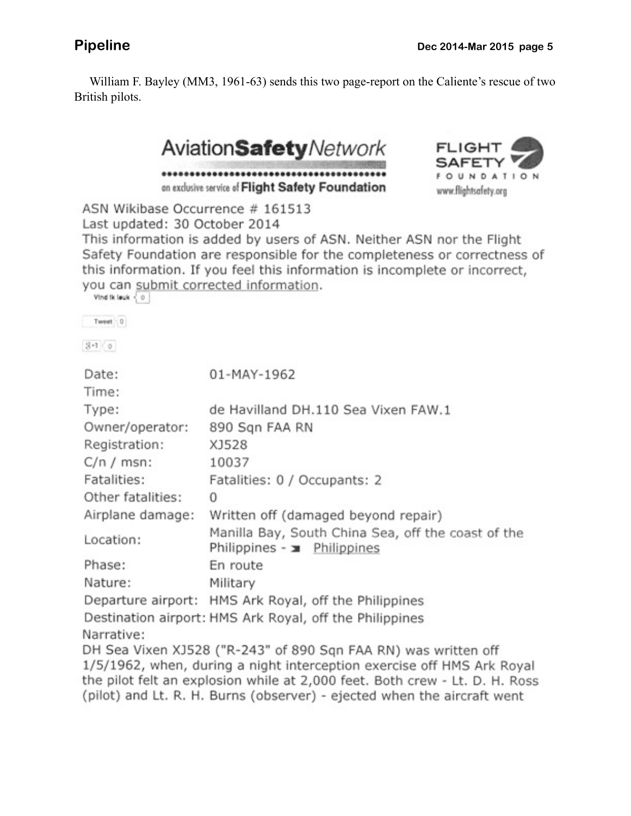William F. Bayley (MM3, 1961-63) sends this two page-report on the Caliente's rescue of two British pilots.





ASN Wikibase Occurrence # 161513 Last updated: 30 October 2014

This information is added by users of ASN. Neither ASN nor the Flight Safety Foundation are responsible for the completeness or correctness of this information. If you feel this information is incomplete or incorrect, you can submit corrected information.

| Vind ik leuk < 0 |                                     |
|------------------|-------------------------------------|
| Tweet 0          |                                     |
| $3 - 1 < 0$      |                                     |
| Date:            | 01-MAY-1962                         |
| Time:            |                                     |
| Type:            | de Havilland DH.110 Sea Vixen FAW.1 |
| Owner/operator:  | 890 Sqn FAA RN                      |

| Owner/operator:   | 890 Sqn FAA RN                                                                                                                                                                                                          |  |
|-------------------|-------------------------------------------------------------------------------------------------------------------------------------------------------------------------------------------------------------------------|--|
| Registration:     | XJ528                                                                                                                                                                                                                   |  |
| $C/n / msn$ :     | 10037                                                                                                                                                                                                                   |  |
| Fatalities:       | Fatalities: 0 / Occupants: 2                                                                                                                                                                                            |  |
| Other fatalities: | 0                                                                                                                                                                                                                       |  |
| Airplane damage:  | Written off (damaged beyond repair)                                                                                                                                                                                     |  |
| Location:         | Manilla Bay, South China Sea, off the coast of the<br>Philippines - x Philippines                                                                                                                                       |  |
| Phase:            | En route                                                                                                                                                                                                                |  |
| Nature:           | Military                                                                                                                                                                                                                |  |
|                   | Departure airport: HMS Ark Royal, off the Philippines                                                                                                                                                                   |  |
|                   | Destination airport: HMS Ark Royal, off the Philippines                                                                                                                                                                 |  |
| Narrative:        |                                                                                                                                                                                                                         |  |
|                   | DH Sea Vixen XJ528 ("R-243" of 890 Sqn FAA RN) was written off<br>1/5/1962, when, during a night interception exercise off HMS Ark Royal<br>the pilot felt an explosion while at 2,000 feet. Both crew - Lt. D. H. Ross |  |

(pilot) and Lt. R. H. Burns (observer) - ejected when the aircraft went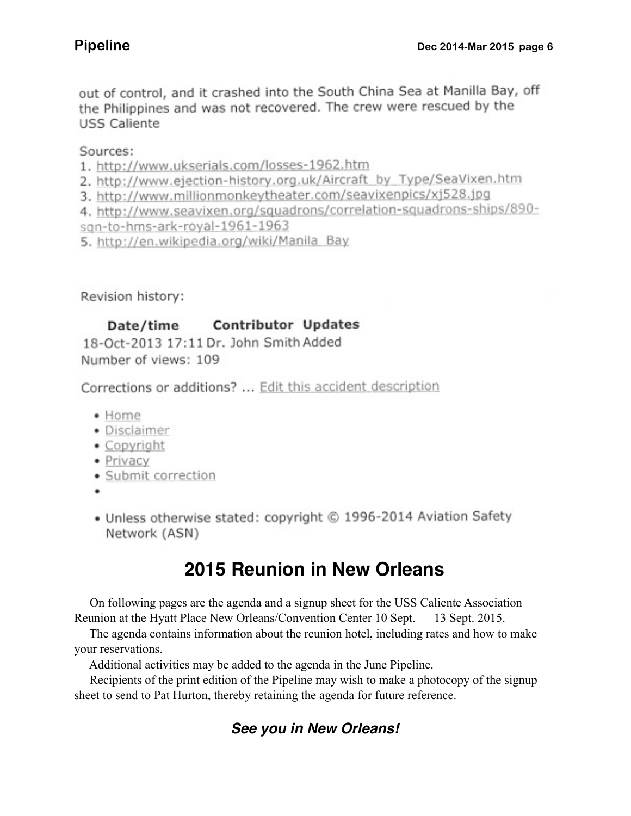out of control, and it crashed into the South China Sea at Manilla Bay, off the Philippines and was not recovered. The crew were rescued by the **USS Caliente** 

Sources:

- 1. http://www.ukserials.com/losses-1962.htm
- 2. http://www.ejection-history.org.uk/Aircraft\_by\_Type/SeaVixen.htm
- 3. http://www.millionmonkeytheater.com/seavixenpics/xj528.jpg
- 4. http://www.seavixen.org/squadrons/correlation-squadrons-ships/890-
- sqn-to-hms-ark-royal-1961-1963
- 5. http://en.wikipedia.org/wiki/Manila\_Bay

Revision history:

### **Contributor Updates** Date/time

18-Oct-2013 17:11 Dr. John Smith Added Number of views: 109

Corrections or additions? ... Edit this accident description

- Home
- · Disclaimer
- · Copyright
- · Privacy
- · Submit correction
- 
- Unless otherwise stated: copyright © 1996-2014 Aviation Safety Network (ASN)

# **2015 Reunion in New Orleans**

 On following pages are the agenda and a signup sheet for the USS Caliente Association Reunion at the Hyatt Place New Orleans/Convention Center 10 Sept. — 13 Sept. 2015.

 The agenda contains information about the reunion hotel, including rates and how to make your reservations.

Additional activities may be added to the agenda in the June Pipeline.

 Recipients of the print edition of the Pipeline may wish to make a photocopy of the signup sheet to send to Pat Hurton, thereby retaining the agenda for future reference.

# *See you in New Orleans!*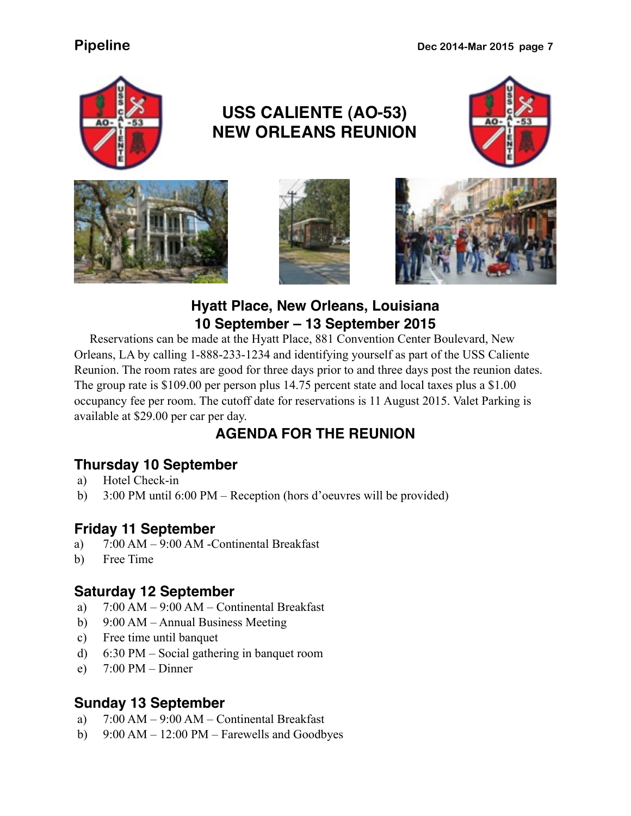

# **USS CALIENTE (AO-53) NEW ORLEANS REUNION**









### **Hyatt Place, New Orleans, Louisiana 10 September – 13 September 2015**

 Reservations can be made at the Hyatt Place, 881 Convention Center Boulevard, New Orleans, LA by calling 1-888-233-1234 and identifying yourself as part of the USS Caliente Reunion. The room rates are good for three days prior to and three days post the reunion dates. The group rate is \$109.00 per person plus 14.75 percent state and local taxes plus a \$1.00 occupancy fee per room. The cutoff date for reservations is 11 August 2015. Valet Parking is available at \$29.00 per car per day.

# **AGENDA FOR THE REUNION**

### **Thursday 10 September**

- a) Hotel Check-in
- b) 3:00 PM until 6:00 PM Reception (hors d'oeuvres will be provided)

### **Friday 11 September**

- a) 7:00 AM 9:00 AM -Continental Breakfast
- b) Free Time

### **Saturday 12 September**

- a) 7:00 AM 9:00 AM Continental Breakfast
- b) 9:00 AM Annual Business Meeting
- c) Free time until banquet
- d) 6:30 PM Social gathering in banquet room
- e)  $7:00 \text{ PM} \text{Dinner}$

### **Sunday 13 September**

- a) 7:00 AM 9:00 AM Continental Breakfast
- b) 9:00 AM 12:00 PM Farewells and Goodbyes